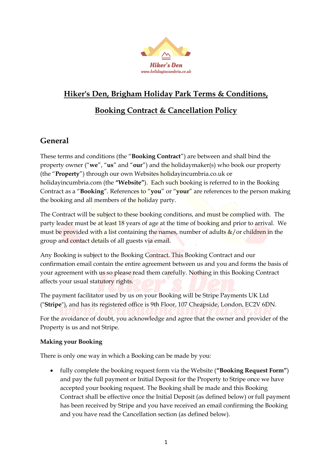

# **Hiker's Den, Brigham Holiday Park Terms & Conditions,**

# **Booking Contract & Cancellation Policy**

## **General**

These terms and conditions (the "**Booking Contract**") are between and shall bind the property owner ("**we**", "**us**" and "**our**") and the holidaymaker(s) who book our property (the "**Property**") through our own Websites holidayincumbria.co.uk or holidayincumbria.com (the **"Website"**). Each such booking is referred to in the Booking Contract as a "**Booking**". References to "**you**" or "**your**" are references to the person making the booking and all members of the holiday party.

The Contract will be subject to these booking conditions, and must be complied with. The party leader must be at least 18 years of age at the time of booking and prior to arrival. We must be provided with a list containing the names, number of adults  $\&/$  or children in the group and contact details of all guests via email.

Any Booking is subject to the Booking Contract. This Booking Contract and our confirmation email contain the entire agreement between us and you and forms the basis of your agreement with us so please read them carefully. Nothing in this Booking Contract affects your usual statutory rights.

The payment facilitator used by us on your Booking will be Stripe Payments UK Ltd ("**Stripe**"), and has its registered office is 9th Floor, 107 Cheapside, London, EC2V 6DN. For the avoidance of doubt, you acknowledge and agree that the owner and provider of the Property is us and not Stripe.

#### **Making your Booking**

There is only one way in which a Booking can be made by you:

 fully complete the booking request form via the Website (**"Booking Request Form"**) and pay the full payment or Initial Deposit for the Property to Stripe once we have accepted your booking request. The Booking shall be made and this Booking Contract shall be effective once the Initial Deposit (as defined below) or full payment has been received by Stripe and you have received an email confirming the Booking and you have read the Cancellation section (as defined below).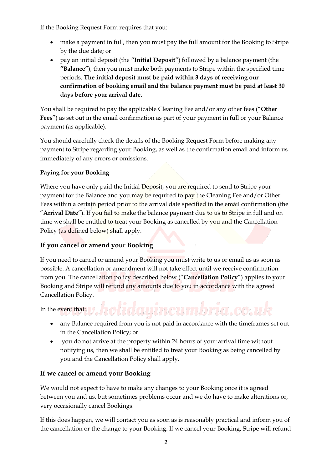If the Booking Request Form requires that you:

- make a payment in full, then you must pay the full amount for the Booking to Stripe by the due date; or
- pay an initial deposit (the **"Initial Deposit"**) followed by a balance payment (the **"Balance"**), then you must make both payments to Stripe within the specified time periods. **The initial deposit must be paid within 3 days of receiving our confirmation of booking email and the balance payment must be paid at least 30 days before your arrival date**.

You shall be required to pay the applicable Cleaning Fee and/or any other fees ("**Other Fees**") as set out in the email confirmation as part of your payment in full or your Balance payment (as applicable).

You should carefully check the details of the Booking Request Form before making any payment to Stripe regarding your Booking, as well as the confirmation email and inform us immediately of any errors or omissions.

#### **Paying for your Booking**

Where you have only paid the Initial Deposit, you are required to send to Stripe your payment for the Balance and you may be required to pay the Cleaning Fee and/or Other Fees within a certain period prior to the arrival date specified in the email confirmation (the "**Arrival Date**"). If you fail to make the balance payment due to us to Stripe in full and on time we shall be entitled to treat your Booking as cancelled by you and the Cancellation Policy (as defined below) shall apply.

#### **If you cancel or amend your Booking**

If you need to cancel or amend your Booking you must write to us or email us as soon as possible. A cancellation or amendment will not take effect until we receive confirmation from you. The cancellation policy described below ("**Cancellation Policy**") applies to your Booking and Stripe will refund any amounts due to you in accordance with the agreed Cancellation Policy.

In the event that: y. holiday incumbria.co.uk

- any Balance required from you is not paid in accordance with the timeframes set out in the Cancellation Policy; or
- you do not arrive at the property within 24 hours of your arrival time without notifying us, then we shall be entitled to treat your Booking as being cancelled by you and the Cancellation Policy shall apply.

#### **If we cancel or amend your Booking**

We would not expect to have to make any changes to your Booking once it is agreed between you and us, but sometimes problems occur and we do have to make alterations or, very occasionally cancel Bookings.

If this does happen, we will contact you as soon as is reasonably practical and inform you of the cancellation or the change to your Booking. If we cancel your Booking, Stripe will refund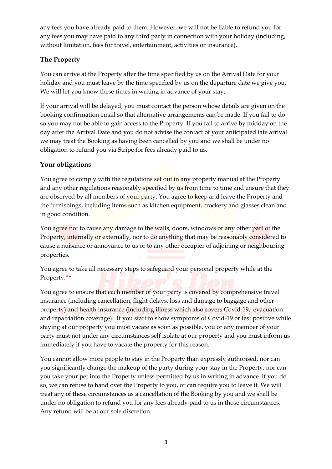any fees you have already paid to them. However, we will not be liable to refund you for any fees you may have paid to any third party in connection with your holiday (including, without limitation, fees for travel, entertainment, activities or insurance).

#### **The Property**

You can arrive at the Property after the time specified by us on the Arrival Date for your holiday and you must leave by the time specified by us on the departure date we give you. We will let you know these times in writing in advance of your stay.

If your arrival will be delayed, you must contact the person whose details are given on the booking confirmation email so that alternative arrangements can be made. If you fail to do so you may not be able to gain access to the Property. If you fail to arrive by midday on the day after the Arrival Date and you do not advise the contact of your anticipated late arrival we may treat the Booking as having been cancelled by you and we shall be under no obligation to refund you via Stripe for fees already paid to us.

### **Your obligations**

You agree to comply with the regulations set out in any property manual at the Property and any other regulations reasonably specified by us from time to time and ensure that they are observed by all members of your party. You agree to keep and leave the Property and the furnishings, including items such as kitchen equipment, crockery and glasses clean and in good condition.

You agree not to cause any damage to the walls, doors, windows or any other part of the Property, internally or externally, nor to do anything that may be reasonably considered to cause a nuisance or annoyance to us or to any other occupier of adjoining or neighbouring properties.

You agree to take all necessary steps to safeguard your personal property while at the Property.**\*\***

You agree to ensure that each member of your party is covered by comprehensive travel insurance (including cancellation, flight delays, loss and damage to baggage and other property) and health insurance (including illness which also covers Covid-19, evacuation and repatriation coverage). If you start to show symptoms of Covid-19 or test positive while staying at our property you must vacate as soon as possible, you or any member of your party must not under any circumstances self isolate at our property and you must inform us immediately if you have to vacate the property for this reason.

You cannot allow more people to stay in the Property than expressly authorised, nor can you significantly change the makeup of the party during your stay in the Property, nor can you take your pet into the Property unless permitted by us in writing in advance. If you do so, we can refuse to hand over the Property to you, or can require you to leave it. We will treat any of these circumstances as a cancellation of the Booking by you and we shall be under no obligation to refund you for any fees already paid to us in those circumstances. Any refund will be at our sole discretion.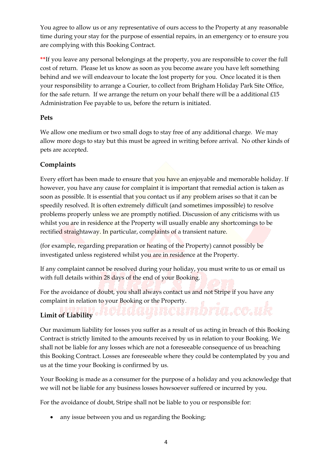You agree to allow us or any representative of ours access to the Property at any reasonable time during your stay for the purpose of essential repairs, in an emergency or to ensure you are complying with this Booking Contract.

**\*\***If you leave any personal belongings at the property, you are responsible to cover the full cost of return. Please let us know as soon as you become aware you have left something behind and we will endeavour to locate the lost property for you. Once located it is then your responsibility to arrange a Courier, to collect from Brigham Holiday Park Site Office, for the safe return. If we arrange the return on your behalf there will be a additional  $£15$ Administration Fee payable to us, before the return is initiated.

#### **Pets**

We allow one medium or two small dogs to stay free of any additional charge. We may allow more dogs to stay but this must be agreed in writing before arrival. No other kinds of pets are accepted.

#### **Complaints**

Every effort has been made to ensure that you have an enjoyable and memorable holiday. If however, you have any cause for complaint it is important that remedial action is taken as soon as possible. It is essential that you contact us if any problem arises so that it can be speedily resolved. It is often extremely difficult (and sometimes impossible) to resolve problems properly unless we are promptly notified. Discussion of any criticisms with us whilst you are in residence at the Property will usually enable any shortcomings to be rectified straightaway. In particular, complaints of a transient nature.

(for example, regarding preparation or heating of the Property) cannot possibly be investigated unless registered whilst you are in residence at the Property.

If any complaint cannot be resolved during your holiday, you must write to us or email us with full details within 28 days of the end of your Booking.

For the avoidance of doubt, you shall always contact us and not Stripe if you have any complaint in relation to your Booking or the Property.

# **Limit of Liability**

Our maximum liability for losses you suffer as a result of us acting in breach of this Booking Contract is strictly limited to the amounts received by us in relation to your Booking. We shall not be liable for any losses which are not a foreseeable consequence of us breaching this Booking Contract. Losses are foreseeable where they could be contemplated by you and us at the time your Booking is confirmed by us.

Your Booking is made as a consumer for the purpose of a holiday and you acknowledge that we will not be liable for any business losses howsoever suffered or incurred by you.

For the avoidance of doubt, Stripe shall not be liable to you or responsible for:

• any issue between you and us regarding the Booking;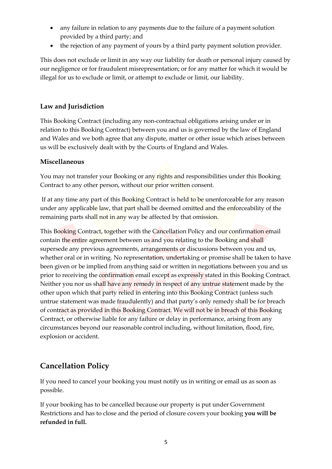- any failure in relation to any payments due to the failure of a payment solution provided by a third party; and
- the rejection of any payment of yours by a third party payment solution provider.

This does not exclude or limit in any way our liability for death or personal injury caused by our negligence or for fraudulent misrepresentation; or for any matter for which it would be illegal for us to exclude or limit, or attempt to exclude or limit, our liability.

#### **Law and Jurisdiction**

This Booking Contract (including any non-contractual obligations arising under or in relation to this Booking Contract) between you and us is governed by the law of England and Wales and we both agree that any dispute, matter or other issue which arises between us will be exclusively dealt with by the Courts of England and Wales.

#### **Miscellaneous**

You may not transfer your Booking or any rights and responsibilities under this Booking Contract to any other person, without our prior written consent.

If at any time any part of this Booking Contract is held to be unenforceable for any reason under any applicable law, that part shall be deemed omitted and the enforceability of the remaining parts shall not in any way be affected by that omission.

This Booking Contract, together with the Cancellation Policy and our confirmation email contain the entire agreement between us and you relating to the Booking and shall supersede any previous agreements, arrangements or discussions between you and us, whether oral or in writing. No representation, undertaking or promise shall be taken to have been given or be implied from anything said or written in negotiations between you and us prior to receiving the confirmation email except as expressly stated in this Booking Contract. Neither you nor us shall have any remedy in respect of any untrue statement made by the other upon which that party relied in entering into this Booking Contract (unless such untrue statement was made fraudulently) and that party's only remedy shall be for breach of contract as provided in this Booking Contract. We will not be in breach of this Booking Contract, or otherwise liable for any failure or delay in performance, arising from any circumstances beyond our reasonable control including, without limitation, flood, fire, explosion or accident.

# **Cancellation Policy**

If you need to cancel your booking you must notify us in writing or email us as soon as possible.

If your booking has to be cancelled because our property is put under Government Restrictions and has to close and the period of closure covers your booking **you will be refunded in full.**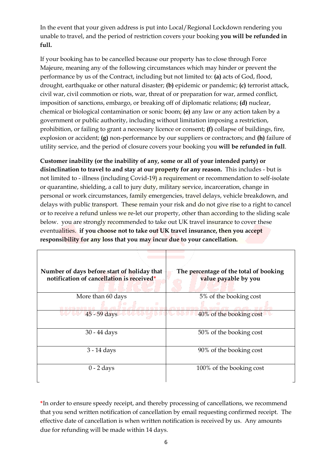In the event that your given address is put into Local/Regional Lockdown rendering you unable to travel, and the period of restriction covers your booking **you will be refunded in full.**

If your booking has to be cancelled because our property has to close through Force Majeure, meaning any of the following circumstances which may hinder or prevent the performance by us of the Contract, including but not limited to: **(a)** acts of God, flood, drought, earthquake or other natural disaster; **(b)** epidemic or pandemic; **(c)** terrorist attack, civil war, civil commotion or riots, war, threat of or preparation for war, armed conflict, imposition of sanctions, embargo, or breaking off of diplomatic relations; **(d)** nuclear, chemical or biological contamination or sonic boom; **(e)** any law or any action taken by a government or public authority, including without limitation imposing a restriction, prohibition, or failing to grant a necessary licence or consent; **(f)** collapse of buildings, fire, explosion or accident; **(g)** non-performance by our suppliers or contractors; and **(h)** failure of utility service, and the period of closure covers your booking you **will be refunded in full**.

**Customer inability (or the inability of any, some or all of your intended party) or disinclination to travel to and stay at our property for any reason.** This includes - but is not limited to - illness (including Covid-19) a requirement or recommendation to self-isolate or quarantine, shielding, a call to jury duty, military service, incarceration, change in personal or work circumstances, family emergencies, travel delays, vehicle breakdown, and delays with public transport. These remain your risk and do not give rise to a right to cancel or to receive a refund unless we re-let our property, other than according to the sliding scale below. you are strongly recommended to take out UK travel insurance to cover these eventualities. **if you choose not to take out UK travel insurance, then you accept responsibility for any loss that you may incur due to your cancellation.**

| Number of days before start of holiday that<br>notification of cancellation is received* | The percentage of the total of booking<br>value payable by you |
|------------------------------------------------------------------------------------------|----------------------------------------------------------------|
| More than 60 days                                                                        | 5% of the booking cost                                         |
| ۰                                                                                        |                                                                |
| 45 - 59 days                                                                             | 40% of the booking cost                                        |
| $30 - 44$ days                                                                           | 50% of the booking cost                                        |
| $3 - 14$ days                                                                            | 90% of the booking cost                                        |
| $0 - 2$ days                                                                             | 100% of the booking cost                                       |

**\***In order to ensure speedy receipt, and thereby processing of cancellations, we recommend that you send written notification of cancellation by email requesting confirmed receipt. The effective date of cancellation is when written notification is received by us. Any amounts due for refunding will be made within 14 days.